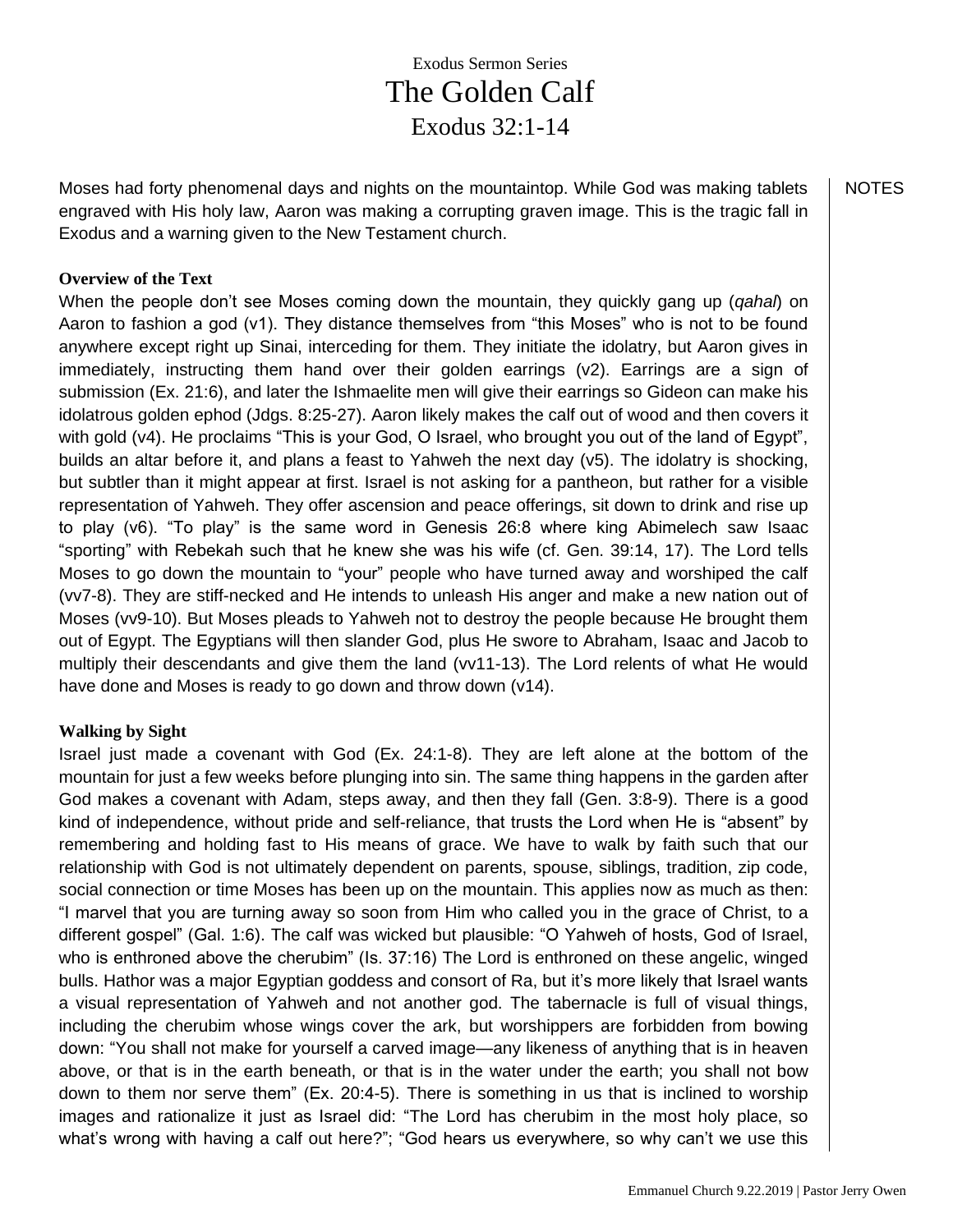Exodus Sermon Series The Golden Calf Exodus 32:1-14

Moses had forty phenomenal days and nights on the mountaintop. While God was making tablets engraved with His holy law, Aaron was making a corrupting graven image. This is the tragic fall in Exodus and a warning given to the New Testament church.

#### **Overview of the Text**

When the people don't see Moses coming down the mountain, they quickly gang up (*qahal*) on Aaron to fashion a god (v1). They distance themselves from "this Moses" who is not to be found anywhere except right up Sinai, interceding for them. They initiate the idolatry, but Aaron gives in immediately, instructing them hand over their golden earrings (v2). Earrings are a sign of submission (Ex. 21:6), and later the Ishmaelite men will give their earrings so Gideon can make his idolatrous golden ephod (Jdgs. 8:25-27). Aaron likely makes the calf out of wood and then covers it with gold (v4). He proclaims "This is your God, O Israel, who brought you out of the land of Egypt", builds an altar before it, and plans a feast to Yahweh the next day (v5). The idolatry is shocking, but subtler than it might appear at first. Israel is not asking for a pantheon, but rather for a visible representation of Yahweh. They offer ascension and peace offerings, sit down to drink and rise up to play (v6). "To play" is the same word in Genesis 26:8 where king Abimelech saw Isaac "sporting" with Rebekah such that he knew she was his wife (cf. Gen. 39:14, 17). The Lord tells Moses to go down the mountain to "your" people who have turned away and worshiped the calf (vv7-8). They are stiff-necked and He intends to unleash His anger and make a new nation out of Moses (vv9-10). But Moses pleads to Yahweh not to destroy the people because He brought them out of Egypt. The Egyptians will then slander God, plus He swore to Abraham, Isaac and Jacob to multiply their descendants and give them the land (vv11-13). The Lord relents of what He would have done and Moses is ready to go down and throw down (v14).

### **Walking by Sight**

Israel just made a covenant with God (Ex. 24:1-8). They are left alone at the bottom of the mountain for just a few weeks before plunging into sin. The same thing happens in the garden after God makes a covenant with Adam, steps away, and then they fall (Gen. 3:8-9). There is a good kind of independence, without pride and self-reliance, that trusts the Lord when He is "absent" by remembering and holding fast to His means of grace. We have to walk by faith such that our relationship with God is not ultimately dependent on parents, spouse, siblings, tradition, zip code, social connection or time Moses has been up on the mountain. This applies now as much as then: "I marvel that you are turning away so soon from Him who called you in the grace of Christ, to a different gospel" (Gal. 1:6). The calf was wicked but plausible: "O Yahweh of hosts, God of Israel, who is enthroned above the cherubim" (Is. 37:16) The Lord is enthroned on these angelic, winged bulls. Hathor was a major Egyptian goddess and consort of Ra, but it's more likely that Israel wants a visual representation of Yahweh and not another god. The tabernacle is full of visual things, including the cherubim whose wings cover the ark, but worshippers are forbidden from bowing down: "You shall not make for yourself a carved image—any likeness of anything that is in heaven above, or that is in the earth beneath, or that is in the water under the earth; you shall not bow down to them nor serve them" (Ex. 20:4-5). There is something in us that is inclined to worship images and rationalize it just as Israel did: "The Lord has cherubim in the most holy place, so what's wrong with having a calf out here?"; "God hears us everywhere, so why can't we use this

NOTES